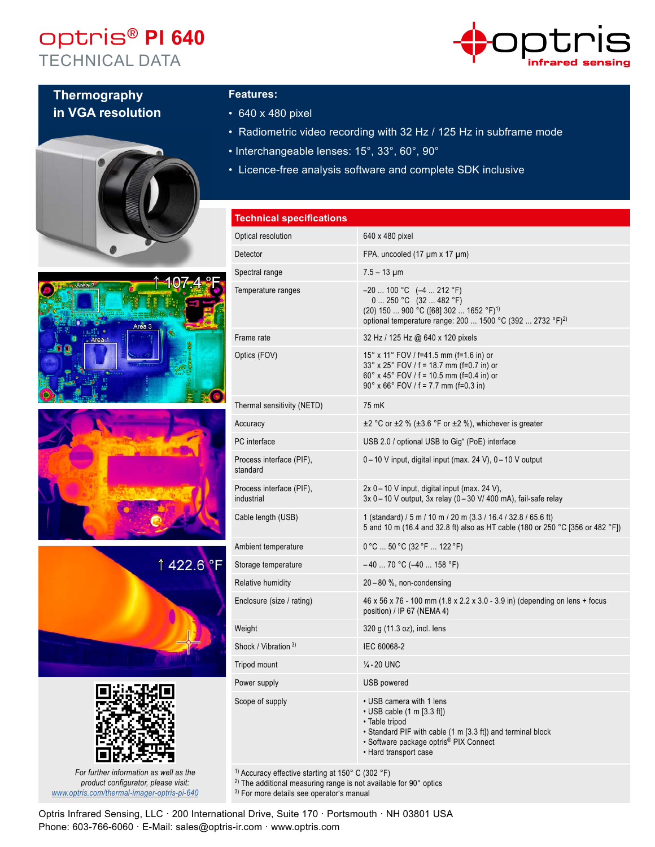## optris® **PI 640** TECHNICAL DATA



### **Thermography in VGA resolution**











*For further information as well as the product configurator, please visit: www.optris.com/thermal-imager-optris-pi-640*

#### **Features:**

- 640 x 480 pixel
- Radiometric video recording with 32 Hz / 125 Hz in subframe mode
- Interchangeable lenses: 15°, 33°, 60°, 90°
- Licence-free analysis software and complete SDK inclusive

| <b>Technical specifications</b>        |                                                                                                                                                                                                                  |
|----------------------------------------|------------------------------------------------------------------------------------------------------------------------------------------------------------------------------------------------------------------|
| Optical resolution                     | 640 x 480 pixel                                                                                                                                                                                                  |
| Detector                               | FPA, uncooled $(17 \mu m \times 17 \mu m)$                                                                                                                                                                       |
| Spectral range                         | $7.5 - 13 \mu m$                                                                                                                                                                                                 |
| Temperature ranges                     | $-20$ 100 °C $(-4$ 212 °F)<br>$0250 °C$ (32  482 °F)<br>(20) 150  900 °C ([68] 302  1652 °F) <sup>1)</sup><br>optional temperature range: 200  1500 °C (392  2732 °F) <sup>2)</sup>                              |
| Frame rate                             | 32 Hz / 125 Hz @ 640 x 120 pixels                                                                                                                                                                                |
| Optics (FOV)                           | 15° x 11° FOV / f=41.5 mm (f=1.6 in) or<br>$33^{\circ}$ x 25 $^{\circ}$ FOV / f = 18.7 mm (f=0.7 in) or<br>$60^{\circ}$ x 45° FOV / f = 10.5 mm (f=0.4 in) or<br>$90^{\circ}$ x 66° FOV / f = 7.7 mm (f=0.3 in)  |
| Thermal sensitivity (NETD)             | 75 mK                                                                                                                                                                                                            |
| Accuracy                               | $\pm$ 2 °C or $\pm$ 2 % ( $\pm$ 3.6 °F or $\pm$ 2 %), whichever is greater                                                                                                                                       |
| PC interface                           | USB 2.0 / optional USB to Gig" (PoE) interface                                                                                                                                                                   |
| Process interface (PIF),<br>standard   | 0 - 10 V input, digital input (max. 24 V), 0 - 10 V output                                                                                                                                                       |
| Process interface (PIF),<br>industrial | $2x$ 0 – 10 V input, digital input (max. 24 V),<br>$3x$ 0 – 10 V output, $3x$ relay (0 – 30 V/ 400 mA), fail-safe relay                                                                                          |
| Cable length (USB)                     | 1 (standard) / 5 m / 10 m / 20 m (3.3 / 16.4 / 32.8 / 65.6 ft)<br>5 and 10 m (16.4 and 32.8 ft) also as HT cable (180 or 250 °C [356 or 482 °F])                                                                 |
| Ambient temperature                    | $0^{\circ}$ C  50 °C (32 °F  122 °F)                                                                                                                                                                             |
| Storage temperature                    | $-40$ 70 °C (-40  158 °F)                                                                                                                                                                                        |
| <b>Relative humidity</b>               | 20-80 %, non-condensing                                                                                                                                                                                          |
| Enclosure (size / rating)              | 46 x 56 x 76 - 100 mm (1.8 x 2.2 x 3.0 - 3.9 in) (depending on lens + focus<br>position) / IP 67 (NEMA 4)                                                                                                        |
| Weight                                 | 320 g (11.3 oz), incl. lens                                                                                                                                                                                      |
| Shock / Vibration 3)                   | IEC 60068-2                                                                                                                                                                                                      |
| Tripod mount                           | $\frac{1}{4}$ -20 UNC                                                                                                                                                                                            |
| Power supply                           | USB powered                                                                                                                                                                                                      |
| Scope of supply                        | • USB camera with 1 lens<br>$\cdot$ USB cable (1 m [3.3 ft])<br>· Table tripod<br>• Standard PIF with cable (1 m [3.3 ft]) and terminal block<br>• Software package optris® PIX Connect<br>• Hard transport case |

1) Accuracy effective starting at 150° C (302 °F)

<sup>2)</sup> The additional measuring range is not available for 90° optics

3) For more details see operator's manual

Optris Infrared Sensing, LLC · 200 International Drive, Suite 170 · Portsmouth · NH 03801 USA Phone: 603-766-6060 · E-Mail: sales@optris-ir.com · www.optris.com